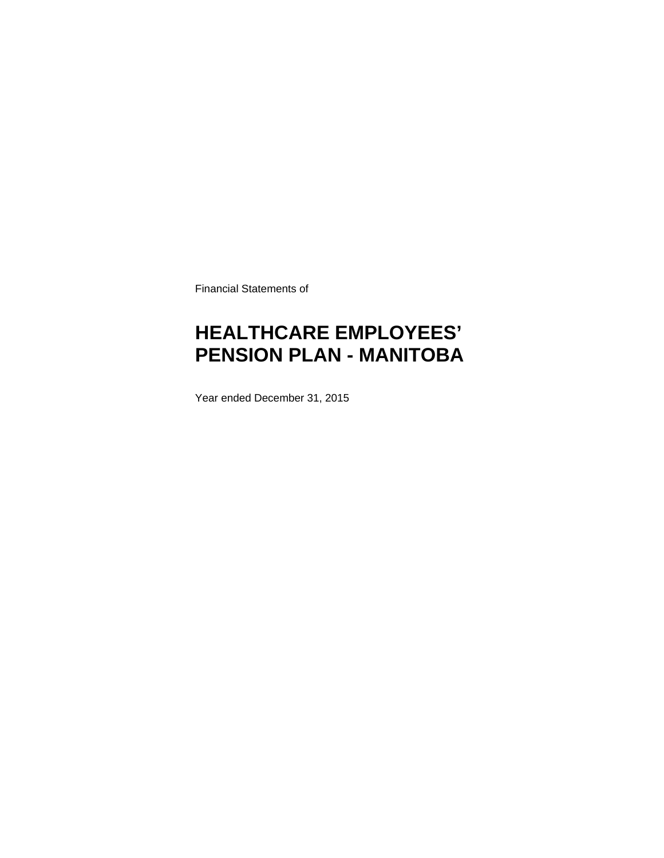Financial Statements of

# **HEALTHCARE EMPLOYEES' PENSION PLAN - MANITOBA**

Year ended December 31, 2015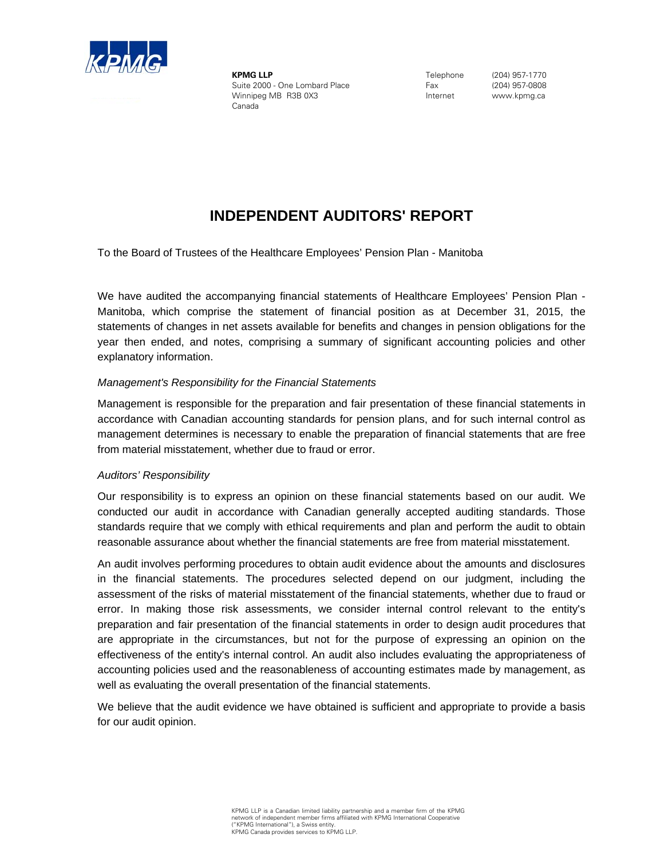

**KPMG LLP** Suite 2000 - One Lombard Place Winnipeg MB R3B 0X3 Canada

Telephone Fax Internet

(204) 957-1770 (204) 957-0808 www.kpmg.ca

## **INDEPENDENT AUDITORS' REPORT**

To the Board of Trustees of the Healthcare Employees' Pension Plan - Manitoba

We have audited the accompanying financial statements of Healthcare Employees' Pension Plan - Manitoba, which comprise the statement of financial position as at December 31, 2015, the statements of changes in net assets available for benefits and changes in pension obligations for the year then ended, and notes, comprising a summary of significant accounting policies and other explanatory information.

#### *Management's Responsibility for the Financial Statements*

Management is responsible for the preparation and fair presentation of these financial statements in accordance with Canadian accounting standards for pension plans, and for such internal control as management determines is necessary to enable the preparation of financial statements that are free from material misstatement, whether due to fraud or error.

#### *Auditors' Responsibility*

Our responsibility is to express an opinion on these financial statements based on our audit. We conducted our audit in accordance with Canadian generally accepted auditing standards. Those standards require that we comply with ethical requirements and plan and perform the audit to obtain reasonable assurance about whether the financial statements are free from material misstatement.

An audit involves performing procedures to obtain audit evidence about the amounts and disclosures in the financial statements. The procedures selected depend on our judgment, including the assessment of the risks of material misstatement of the financial statements, whether due to fraud or error. In making those risk assessments, we consider internal control relevant to the entity's preparation and fair presentation of the financial statements in order to design audit procedures that are appropriate in the circumstances, but not for the purpose of expressing an opinion on the effectiveness of the entity's internal control. An audit also includes evaluating the appropriateness of accounting policies used and the reasonableness of accounting estimates made by management, as well as evaluating the overall presentation of the financial statements.

We believe that the audit evidence we have obtained is sufficient and appropriate to provide a basis for our audit opinion.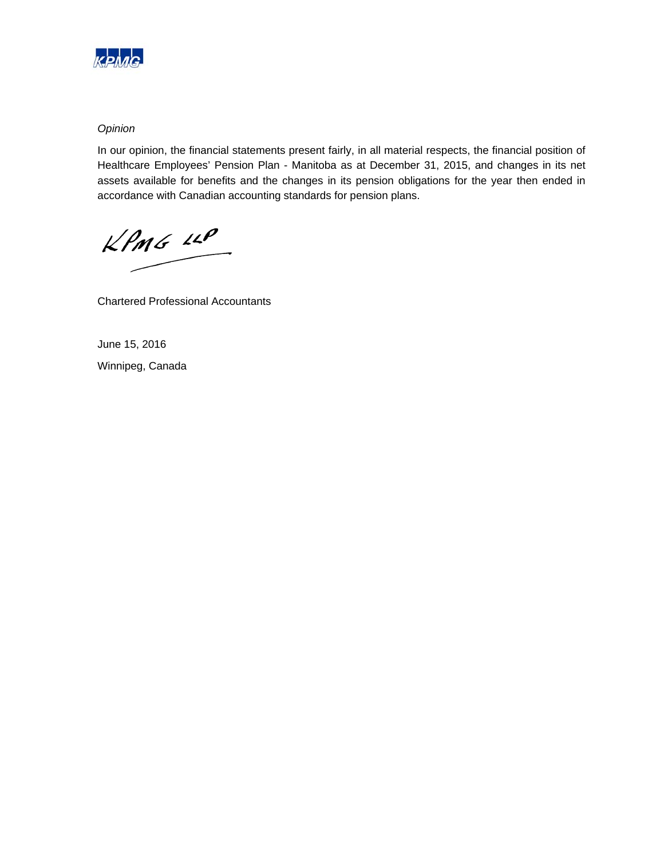

#### *Opinion*

In our opinion, the financial statements present fairly, in all material respects, the financial position of Healthcare Employees' Pension Plan - Manitoba as at December 31, 2015, and changes in its net assets available for benefits and the changes in its pension obligations for the year then ended in accordance with Canadian accounting standards for pension plans.

 $KPMG$  12P

Chartered Professional Accountants

June 15, 2016 Winnipeg, Canada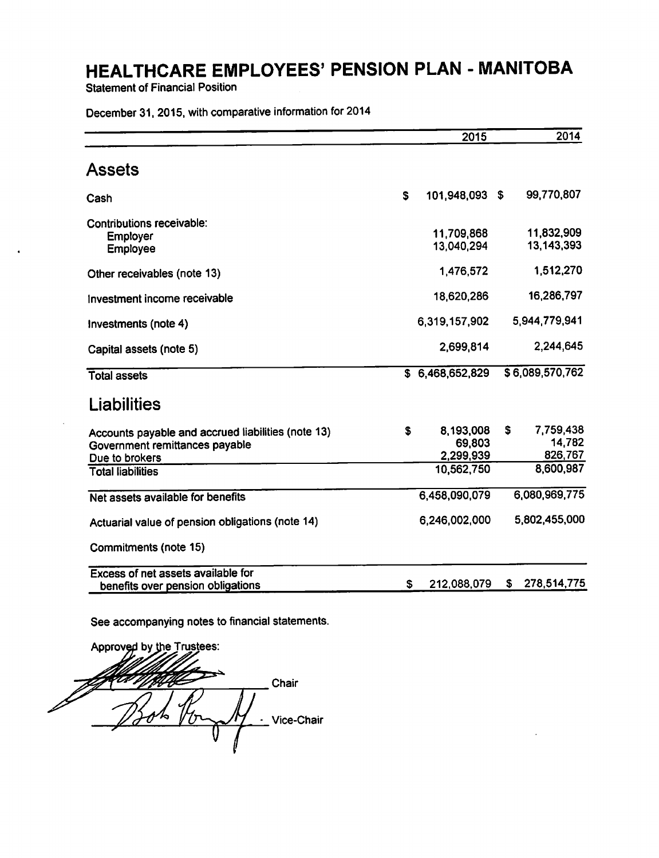**Statement of Financial Position** 

December 31, 2015, with comparative information for 2014

|                                                                                                                                    |    | 2015                                           | 2014                                              |
|------------------------------------------------------------------------------------------------------------------------------------|----|------------------------------------------------|---------------------------------------------------|
| Assets                                                                                                                             |    |                                                |                                                   |
| Cash                                                                                                                               | S  | 101,948,093 \$                                 | 99,770,807                                        |
| Contributions receivable:<br><b>Employer</b><br>Employee                                                                           |    | 11,709,868<br>13,040,294                       | 11,832,909<br>13, 143, 393                        |
| Other receivables (note 13)                                                                                                        |    | 1,476,572                                      | 1,512,270                                         |
| Investment income receivable                                                                                                       |    | 18,620,286                                     | 16,286,797                                        |
| Investments (note 4)                                                                                                               |    | 6,319,157,902                                  | 5,944,779,941                                     |
| Capital assets (note 5)                                                                                                            |    | 2,699,814                                      | 2,244,645                                         |
| <b>Total assets</b>                                                                                                                |    | \$6,468,652,829                                | \$6,089,570,762                                   |
| Liabilities                                                                                                                        |    |                                                |                                                   |
| Accounts payable and accrued liabilities (note 13)<br>Government remittances payable<br>Due to brokers<br><b>Total liabilities</b> | \$ | 8,193,008<br>69,803<br>2,299,939<br>10,562,750 | \$<br>7,759,438<br>14,782<br>826,767<br>8,600,987 |
| Net assets available for benefits                                                                                                  |    | 6,458,090,079                                  | 6,080,969,775                                     |
| Actuarial value of pension obligations (note 14)                                                                                   |    | 6,246,002,000                                  | 5,802,455,000                                     |
| Commitments (note 15)                                                                                                              |    |                                                |                                                   |
| Excess of net assets available for<br>benefits over pension obligations                                                            | \$ | 212,088,079                                    | 278,514,775<br>S.                                 |

See accompanying notes to financial statements.

Approved by the Trustees: Chair Vice-Chair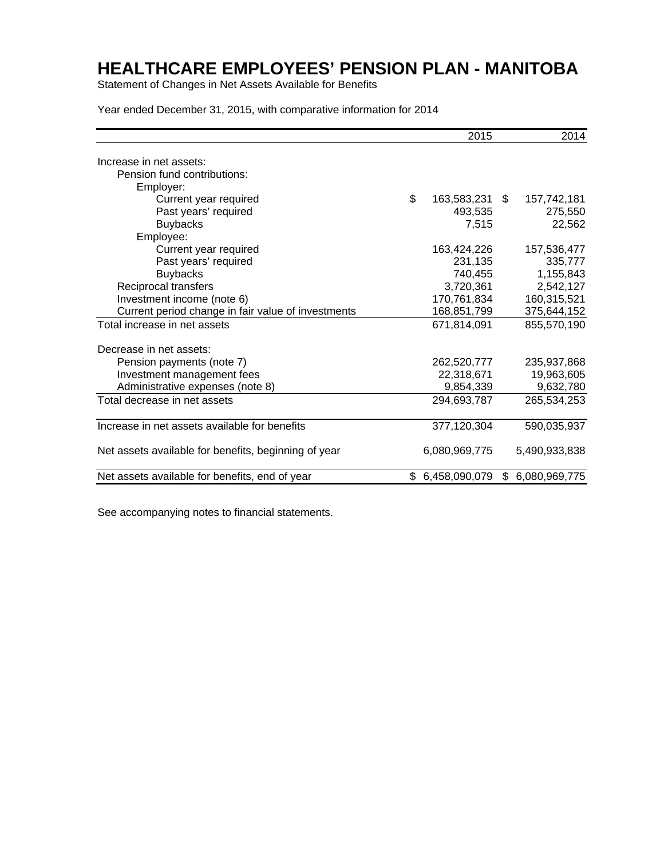Statement of Changes in Net Assets Available for Benefits

Year ended December 31, 2015, with comparative information for 2014

|                                                      |    | 2015           | 2014             |
|------------------------------------------------------|----|----------------|------------------|
| Increase in net assets:                              |    |                |                  |
| Pension fund contributions:                          |    |                |                  |
| Employer:                                            |    |                |                  |
| Current year required                                | \$ | 163,583,231 \$ | 157,742,181      |
| Past years' required                                 |    | 493,535        | 275,550          |
| <b>Buybacks</b>                                      |    | 7,515          | 22,562           |
| Employee:                                            |    |                |                  |
| Current year required                                |    | 163,424,226    | 157,536,477      |
| Past years' required                                 |    | 231,135        | 335,777          |
| <b>Buybacks</b>                                      |    | 740,455        | 1,155,843        |
| Reciprocal transfers                                 |    | 3,720,361      | 2,542,127        |
| Investment income (note 6)                           |    | 170,761,834    | 160,315,521      |
| Current period change in fair value of investments   |    | 168,851,799    | 375,644,152      |
| Total increase in net assets                         |    | 671,814,091    | 855,570,190      |
| Decrease in net assets:                              |    |                |                  |
| Pension payments (note 7)                            |    | 262,520,777    | 235,937,868      |
| Investment management fees                           |    | 22,318,671     | 19,963,605       |
| Administrative expenses (note 8)                     |    | 9,854,339      | 9,632,780        |
| Total decrease in net assets                         |    | 294,693,787    | 265,534,253      |
| Increase in net assets available for benefits        |    | 377,120,304    | 590,035,937      |
| Net assets available for benefits, beginning of year |    | 6,080,969,775  | 5,490,933,838    |
| Net assets available for benefits, end of year       | S. | 6,458,090,079  | \$ 6,080,969,775 |

See accompanying notes to financial statements.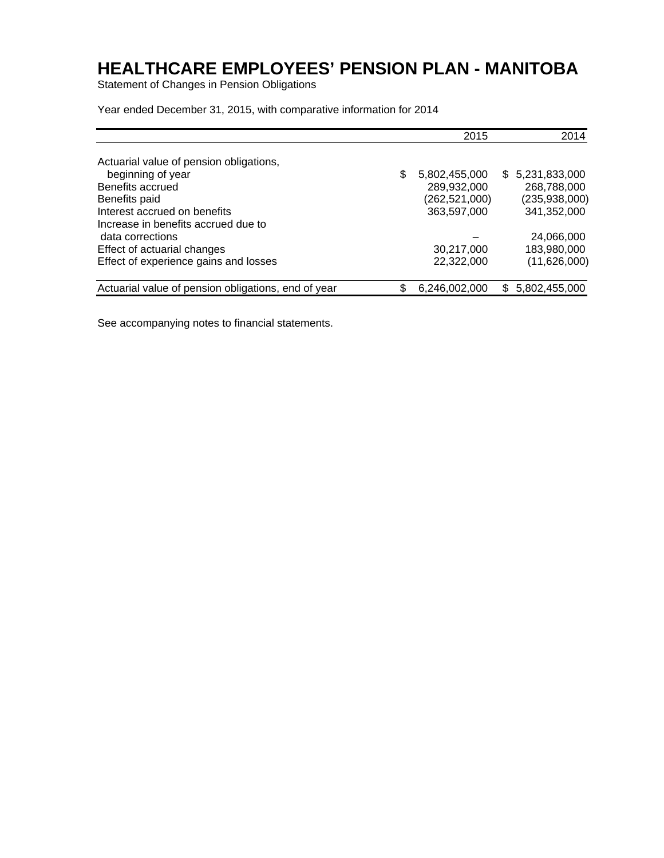Statement of Changes in Pension Obligations

Year ended December 31, 2015, with comparative information for 2014

|                                                     | 2015                |    | 2014            |
|-----------------------------------------------------|---------------------|----|-----------------|
| Actuarial value of pension obligations,             |                     |    |                 |
| beginning of year                                   | \$<br>5,802,455,000 |    | \$5,231,833,000 |
| Benefits accrued                                    | 289,932,000         |    | 268,788,000     |
| Benefits paid                                       | (262,521,000)       |    | (235,938,000)   |
| Interest accrued on benefits                        | 363,597,000         |    | 341,352,000     |
| Increase in benefits accrued due to                 |                     |    |                 |
| data corrections                                    |                     |    | 24,066,000      |
| Effect of actuarial changes                         | 30,217,000          |    | 183,980,000     |
| Effect of experience gains and losses               | 22,322,000          |    | (11,626,000)    |
| Actuarial value of pension obligations, end of year | \$<br>6,246,002,000 | S. | 5,802,455,000   |

See accompanying notes to financial statements.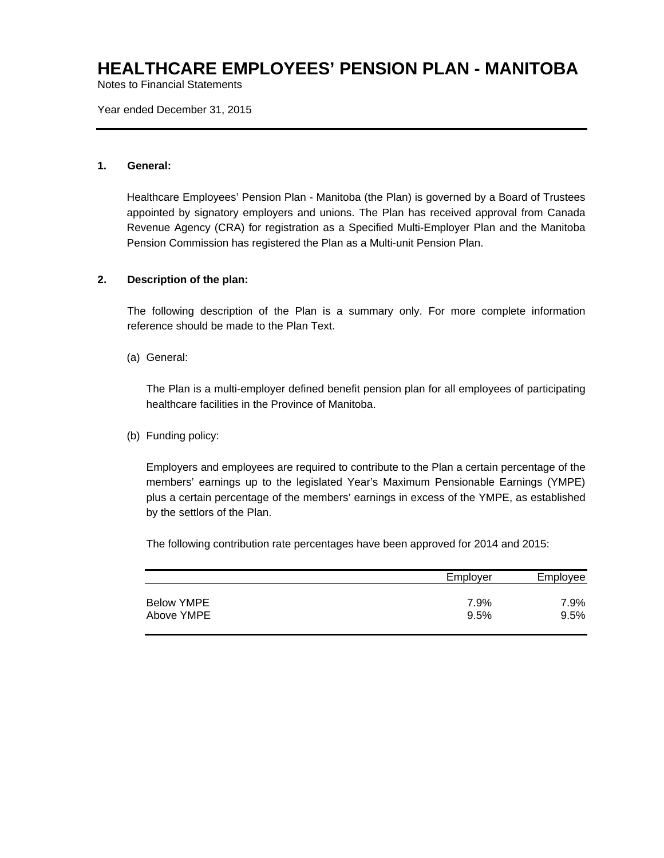Notes to Financial Statements

Year ended December 31, 2015

#### **1. General:**

Healthcare Employees' Pension Plan - Manitoba (the Plan) is governed by a Board of Trustees appointed by signatory employers and unions. The Plan has received approval from Canada Revenue Agency (CRA) for registration as a Specified Multi-Employer Plan and the Manitoba Pension Commission has registered the Plan as a Multi-unit Pension Plan.

#### **2. Description of the plan:**

The following description of the Plan is a summary only. For more complete information reference should be made to the Plan Text.

(a) General:

The Plan is a multi-employer defined benefit pension plan for all employees of participating healthcare facilities in the Province of Manitoba.

#### (b) Funding policy:

Employers and employees are required to contribute to the Plan a certain percentage of the members' earnings up to the legislated Year's Maximum Pensionable Earnings (YMPE) plus a certain percentage of the members' earnings in excess of the YMPE, as established by the settlors of the Plan.

The following contribution rate percentages have been approved for 2014 and 2015:

|            | Employer | Employee |
|------------|----------|----------|
| Below YMPE | 7.9%     | 7.9%     |
| Above YMPE | 9.5%     | 9.5%     |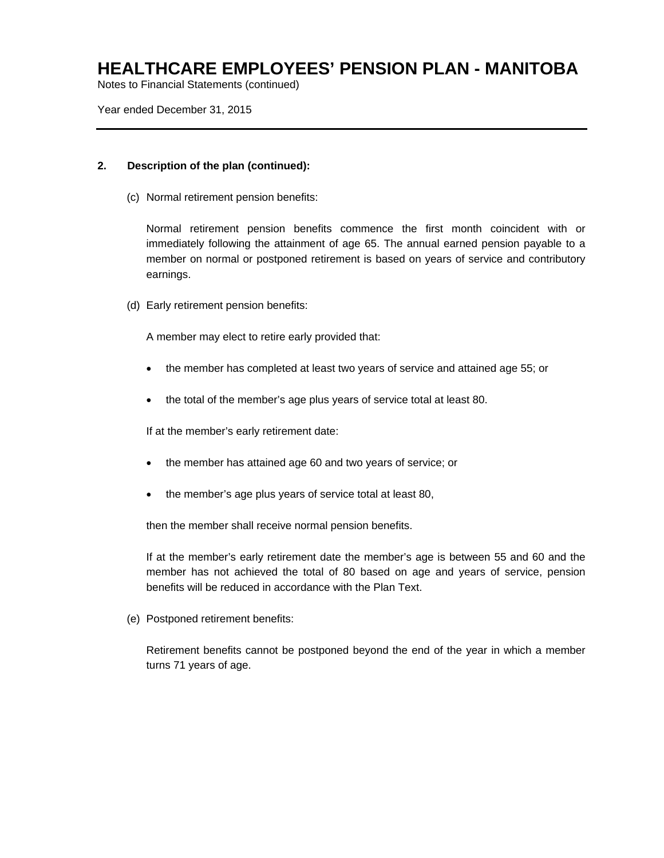Notes to Financial Statements (continued)

Year ended December 31, 2015

#### **2. Description of the plan (continued):**

(c) Normal retirement pension benefits:

Normal retirement pension benefits commence the first month coincident with or immediately following the attainment of age 65. The annual earned pension payable to a member on normal or postponed retirement is based on years of service and contributory earnings.

(d) Early retirement pension benefits:

A member may elect to retire early provided that:

- the member has completed at least two years of service and attained age 55; or
- the total of the member's age plus years of service total at least 80.

If at the member's early retirement date:

- the member has attained age 60 and two years of service; or
- the member's age plus years of service total at least 80,

then the member shall receive normal pension benefits.

If at the member's early retirement date the member's age is between 55 and 60 and the member has not achieved the total of 80 based on age and years of service, pension benefits will be reduced in accordance with the Plan Text.

(e) Postponed retirement benefits:

Retirement benefits cannot be postponed beyond the end of the year in which a member turns 71 years of age.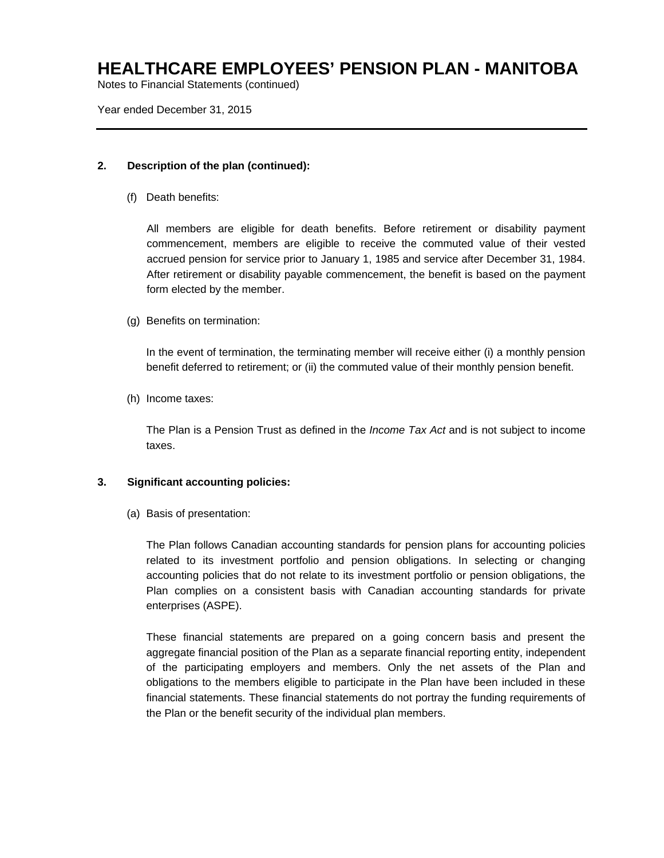Notes to Financial Statements (continued)

Year ended December 31, 2015

#### **2. Description of the plan (continued):**

(f) Death benefits:

All members are eligible for death benefits. Before retirement or disability payment commencement, members are eligible to receive the commuted value of their vested accrued pension for service prior to January 1, 1985 and service after December 31, 1984. After retirement or disability payable commencement, the benefit is based on the payment form elected by the member.

(g) Benefits on termination:

In the event of termination, the terminating member will receive either (i) a monthly pension benefit deferred to retirement; or (ii) the commuted value of their monthly pension benefit.

(h) Income taxes:

The Plan is a Pension Trust as defined in the *Income Tax Act* and is not subject to income taxes.

#### **3. Significant accounting policies:**

(a) Basis of presentation:

The Plan follows Canadian accounting standards for pension plans for accounting policies related to its investment portfolio and pension obligations. In selecting or changing accounting policies that do not relate to its investment portfolio or pension obligations, the Plan complies on a consistent basis with Canadian accounting standards for private enterprises (ASPE).

These financial statements are prepared on a going concern basis and present the aggregate financial position of the Plan as a separate financial reporting entity, independent of the participating employers and members. Only the net assets of the Plan and obligations to the members eligible to participate in the Plan have been included in these financial statements. These financial statements do not portray the funding requirements of the Plan or the benefit security of the individual plan members.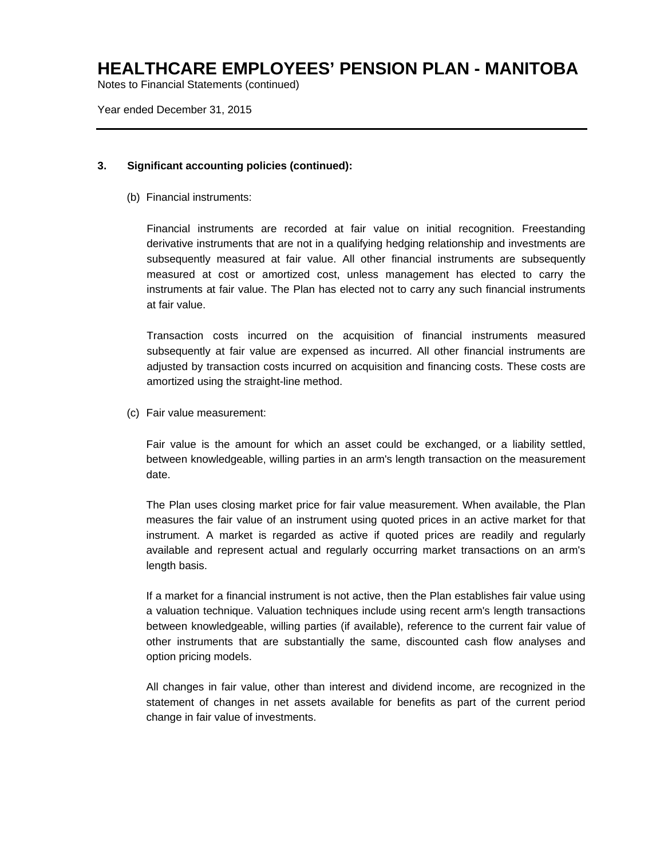Notes to Financial Statements (continued)

Year ended December 31, 2015

#### **3. Significant accounting policies (continued):**

(b) Financial instruments:

Financial instruments are recorded at fair value on initial recognition. Freestanding derivative instruments that are not in a qualifying hedging relationship and investments are subsequently measured at fair value. All other financial instruments are subsequently measured at cost or amortized cost, unless management has elected to carry the instruments at fair value. The Plan has elected not to carry any such financial instruments at fair value.

Transaction costs incurred on the acquisition of financial instruments measured subsequently at fair value are expensed as incurred. All other financial instruments are adjusted by transaction costs incurred on acquisition and financing costs. These costs are amortized using the straight-line method.

(c) Fair value measurement:

Fair value is the amount for which an asset could be exchanged, or a liability settled, between knowledgeable, willing parties in an arm's length transaction on the measurement date.

The Plan uses closing market price for fair value measurement. When available, the Plan measures the fair value of an instrument using quoted prices in an active market for that instrument. A market is regarded as active if quoted prices are readily and regularly available and represent actual and regularly occurring market transactions on an arm's length basis.

If a market for a financial instrument is not active, then the Plan establishes fair value using a valuation technique. Valuation techniques include using recent arm's length transactions between knowledgeable, willing parties (if available), reference to the current fair value of other instruments that are substantially the same, discounted cash flow analyses and option pricing models.

All changes in fair value, other than interest and dividend income, are recognized in the statement of changes in net assets available for benefits as part of the current period change in fair value of investments.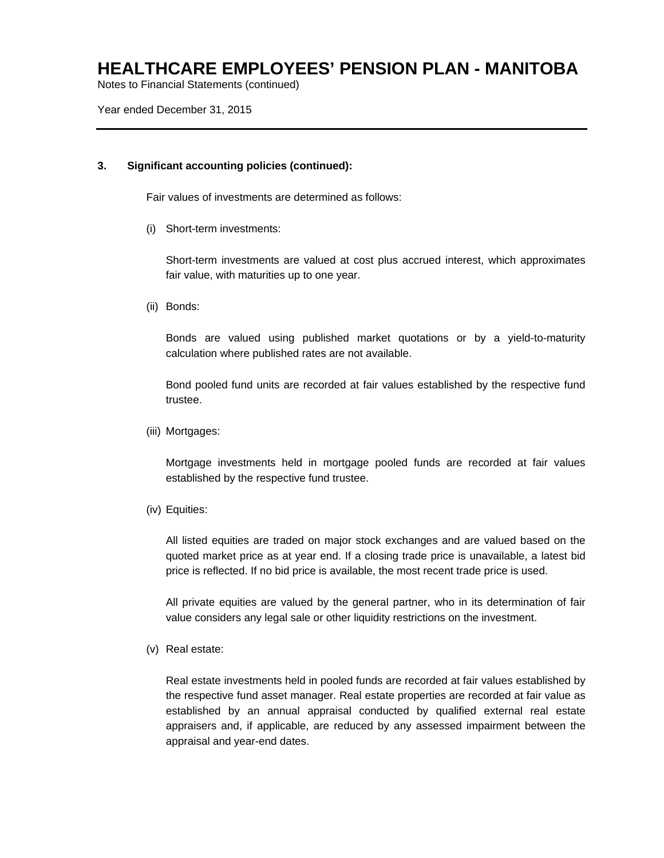Notes to Financial Statements (continued)

Year ended December 31, 2015

#### **3. Significant accounting policies (continued):**

Fair values of investments are determined as follows:

(i) Short-term investments:

Short-term investments are valued at cost plus accrued interest, which approximates fair value, with maturities up to one year.

(ii) Bonds:

Bonds are valued using published market quotations or by a yield-to-maturity calculation where published rates are not available.

Bond pooled fund units are recorded at fair values established by the respective fund trustee.

(iii) Mortgages:

Mortgage investments held in mortgage pooled funds are recorded at fair values established by the respective fund trustee.

(iv) Equities:

All listed equities are traded on major stock exchanges and are valued based on the quoted market price as at year end. If a closing trade price is unavailable, a latest bid price is reflected. If no bid price is available, the most recent trade price is used.

All private equities are valued by the general partner, who in its determination of fair value considers any legal sale or other liquidity restrictions on the investment.

(v) Real estate:

Real estate investments held in pooled funds are recorded at fair values established by the respective fund asset manager. Real estate properties are recorded at fair value as established by an annual appraisal conducted by qualified external real estate appraisers and, if applicable, are reduced by any assessed impairment between the appraisal and year-end dates.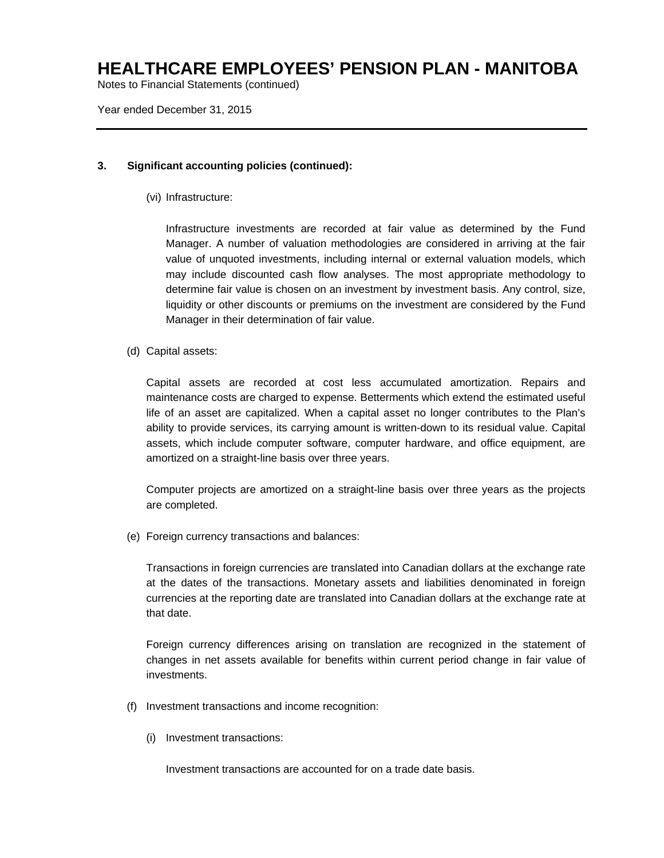Notes to Financial Statements (continued)

Year ended December 31, 2015

#### **3. Significant accounting policies (continued):**

(vi) Infrastructure:

Infrastructure investments are recorded at fair value as determined by the Fund Manager. A number of valuation methodologies are considered in arriving at the fair value of unquoted investments, including internal or external valuation models, which may include discounted cash flow analyses. The most appropriate methodology to determine fair value is chosen on an investment by investment basis. Any control, size, liquidity or other discounts or premiums on the investment are considered by the Fund Manager in their determination of fair value.

(d) Capital assets:

Capital assets are recorded at cost less accumulated amortization. Repairs and maintenance costs are charged to expense. Betterments which extend the estimated useful life of an asset are capitalized. When a capital asset no longer contributes to the Plan's ability to provide services, its carrying amount is written-down to its residual value. Capital assets, which include computer software, computer hardware, and office equipment, are amortized on a straight-line basis over three years.

Computer projects are amortized on a straight-line basis over three years as the projects are completed.

(e) Foreign currency transactions and balances:

Transactions in foreign currencies are translated into Canadian dollars at the exchange rate at the dates of the transactions. Monetary assets and liabilities denominated in foreign currencies at the reporting date are translated into Canadian dollars at the exchange rate at that date.

Foreign currency differences arising on translation are recognized in the statement of changes in net assets available for benefits within current period change in fair value of investments.

- (f) Investment transactions and income recognition:
	- (i) Investment transactions:

Investment transactions are accounted for on a trade date basis.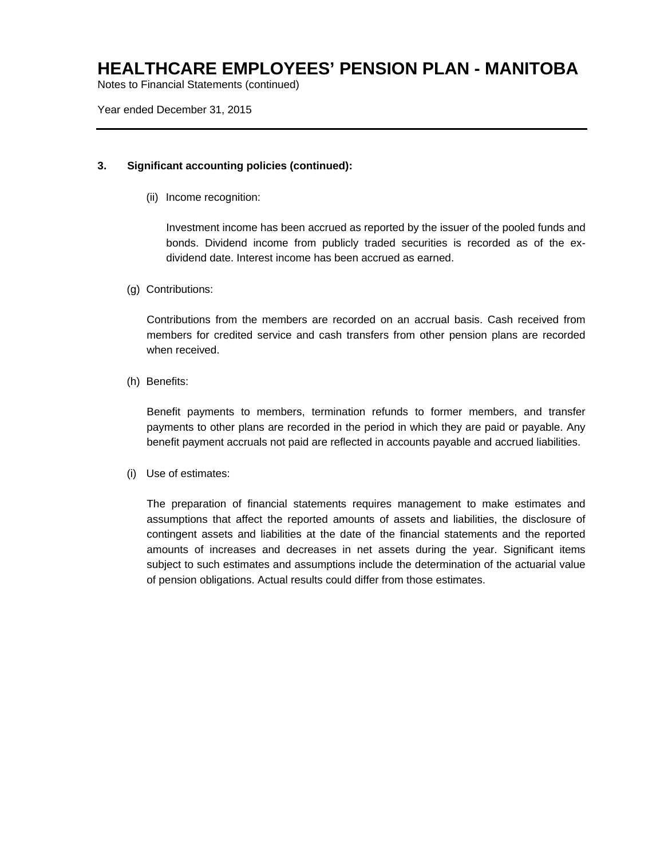Notes to Financial Statements (continued)

Year ended December 31, 2015

#### **3. Significant accounting policies (continued):**

(ii) Income recognition:

Investment income has been accrued as reported by the issuer of the pooled funds and bonds. Dividend income from publicly traded securities is recorded as of the exdividend date. Interest income has been accrued as earned.

(g) Contributions:

Contributions from the members are recorded on an accrual basis. Cash received from members for credited service and cash transfers from other pension plans are recorded when received.

(h) Benefits:

Benefit payments to members, termination refunds to former members, and transfer payments to other plans are recorded in the period in which they are paid or payable. Any benefit payment accruals not paid are reflected in accounts payable and accrued liabilities.

(i) Use of estimates:

The preparation of financial statements requires management to make estimates and assumptions that affect the reported amounts of assets and liabilities, the disclosure of contingent assets and liabilities at the date of the financial statements and the reported amounts of increases and decreases in net assets during the year. Significant items subject to such estimates and assumptions include the determination of the actuarial value of pension obligations. Actual results could differ from those estimates.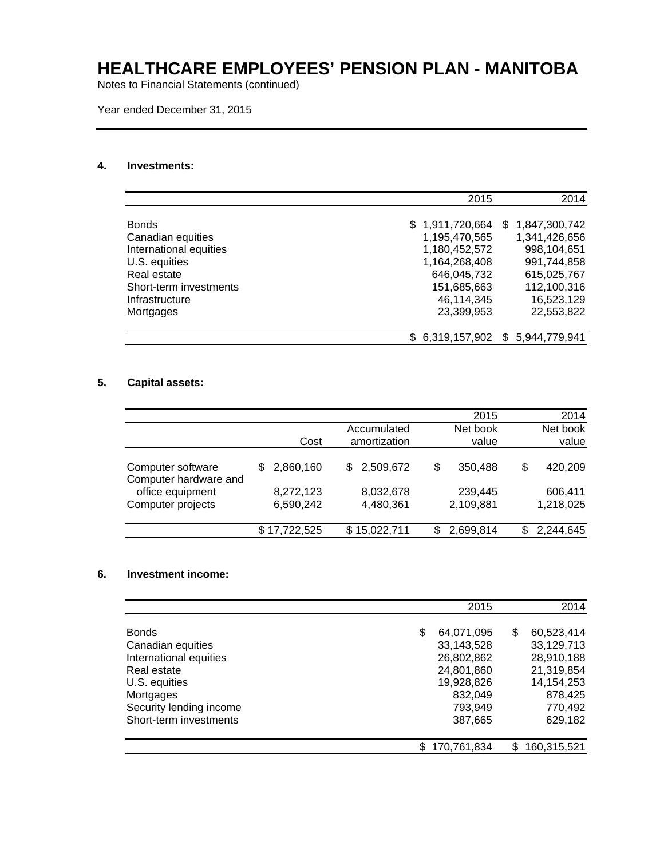Notes to Financial Statements (continued)

Year ended December 31, 2015

#### **4. Investments:**

|                        | 2015             | 2014                |
|------------------------|------------------|---------------------|
|                        |                  |                     |
| <b>Bonds</b>           | \$1,911,720,664  | \$1,847,300,742     |
| Canadian equities      | 1,195,470,565    | 1,341,426,656       |
| International equities | 1,180,452,572    | 998,104,651         |
| U.S. equities          | 1,164,268,408    | 991,744,858         |
| Real estate            | 646,045,732      | 615,025,767         |
| Short-term investments | 151,685,663      | 112,100,316         |
| Infrastructure         | 46,114,345       | 16,523,129          |
| Mortgages              | 23,399,953       | 22,553,822          |
|                        |                  |                     |
|                        | \$ 6,319,157,902 | 5,944,779,941<br>\$ |

#### **5. Capital assets:**

|                                            |                |                 | 2015           | 2014           |
|--------------------------------------------|----------------|-----------------|----------------|----------------|
|                                            |                | Accumulated     | Net book       | Net book       |
|                                            | Cost           | amortization    | value          | value          |
| Computer software<br>Computer hardware and | 2,860,160<br>S | 2,509,672<br>S. | \$<br>350,488  | \$<br>420,209  |
| office equipment                           | 8,272,123      | 8,032,678       | 239,445        | 606,411        |
| Computer projects                          | 6,590,242      | 4,480,361       | 2,109,881      | 1,218,025      |
|                                            | \$17,722,525   | \$15,022,711    | 2,699,814<br>S | 2,244,645<br>S |

#### **6. Investment income:**

|                         | 2015             |    | 2014         |
|-------------------------|------------------|----|--------------|
| <b>Bonds</b>            | \$<br>64,071,095 | S  | 60,523,414   |
| Canadian equities       | 33,143,528       |    | 33,129,713   |
| International equities  | 26,802,862       |    | 28,910,188   |
| Real estate             | 24,801,860       |    | 21,319,854   |
| U.S. equities           | 19,928,826       |    | 14, 154, 253 |
| Mortgages               | 832,049          |    | 878,425      |
| Security lending income | 793,949          |    | 770,492      |
| Short-term investments  | 387,665          |    | 629,182      |
|                         | 170,761,834      | S. | 160,315,521  |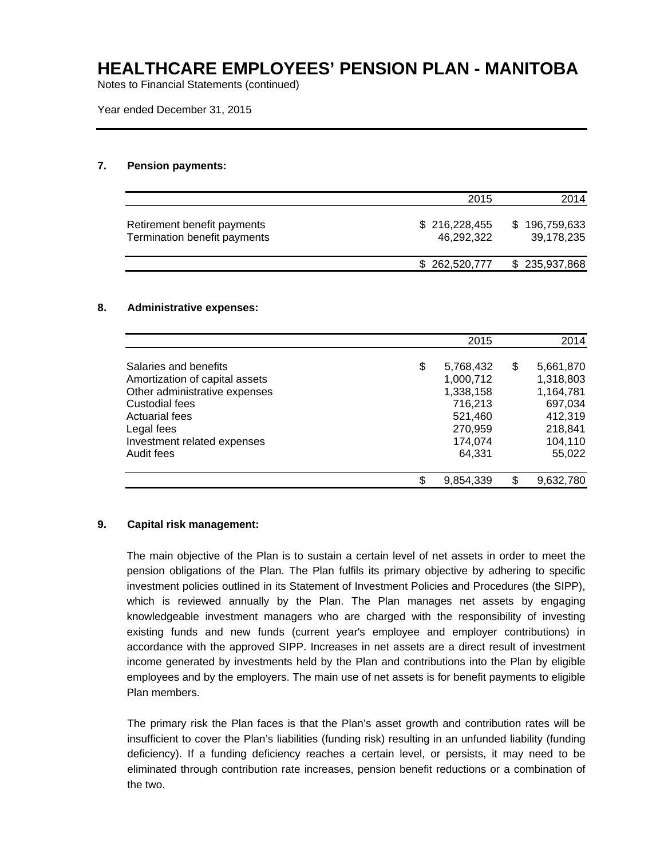Notes to Financial Statements (continued)

Year ended December 31, 2015

#### **7. Pension payments:**

|                                                             | 2015                        | 2014                        |
|-------------------------------------------------------------|-----------------------------|-----------------------------|
| Retirement benefit payments<br>Termination benefit payments | \$216,228,455<br>46.292.322 | \$196,759,633<br>39,178,235 |
|                                                             | \$262,520,777               | \$235,937,868               |

#### **8. Administrative expenses:**

|                                                                                                                                                                                                | 2015                                                                                            | 2014                                                                                            |
|------------------------------------------------------------------------------------------------------------------------------------------------------------------------------------------------|-------------------------------------------------------------------------------------------------|-------------------------------------------------------------------------------------------------|
| Salaries and benefits<br>Amortization of capital assets<br>Other administrative expenses<br>Custodial fees<br><b>Actuarial fees</b><br>Legal fees<br>Investment related expenses<br>Audit fees | \$<br>5,768,432<br>1,000,712<br>1,338,158<br>716,213<br>521,460<br>270,959<br>174,074<br>64,331 | \$<br>5,661,870<br>1,318,803<br>1,164,781<br>697,034<br>412,319<br>218,841<br>104,110<br>55,022 |
|                                                                                                                                                                                                | \$<br>9,854,339                                                                                 | 9,632,780                                                                                       |

#### **9. Capital risk management:**

The main objective of the Plan is to sustain a certain level of net assets in order to meet the pension obligations of the Plan. The Plan fulfils its primary objective by adhering to specific investment policies outlined in its Statement of Investment Policies and Procedures (the SIPP), which is reviewed annually by the Plan. The Plan manages net assets by engaging knowledgeable investment managers who are charged with the responsibility of investing existing funds and new funds (current year's employee and employer contributions) in accordance with the approved SIPP. Increases in net assets are a direct result of investment income generated by investments held by the Plan and contributions into the Plan by eligible employees and by the employers. The main use of net assets is for benefit payments to eligible Plan members.

The primary risk the Plan faces is that the Plan's asset growth and contribution rates will be insufficient to cover the Plan's liabilities (funding risk) resulting in an unfunded liability (funding deficiency). If a funding deficiency reaches a certain level, or persists, it may need to be eliminated through contribution rate increases, pension benefit reductions or a combination of the two.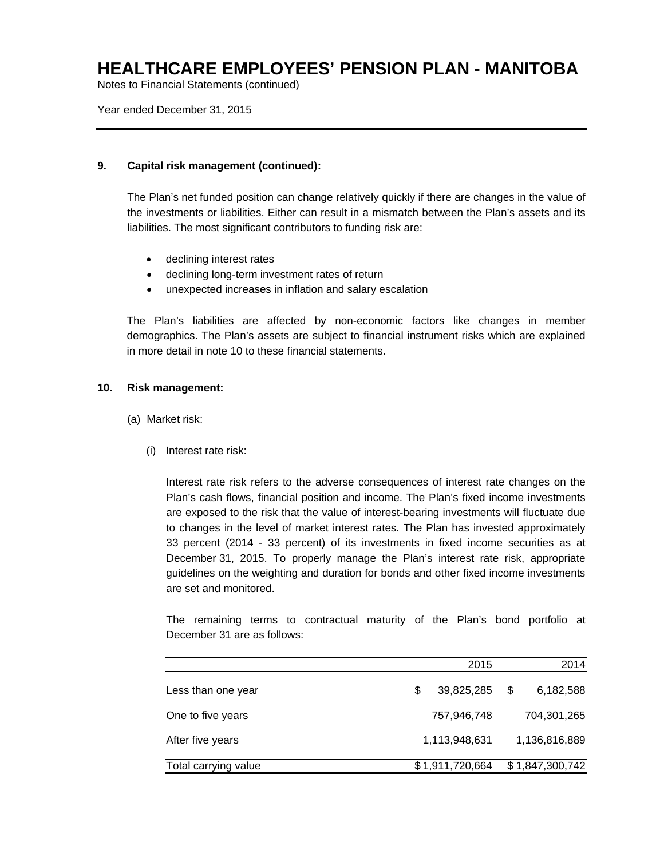Notes to Financial Statements (continued)

Year ended December 31, 2015

#### **9. Capital risk management (continued):**

The Plan's net funded position can change relatively quickly if there are changes in the value of the investments or liabilities. Either can result in a mismatch between the Plan's assets and its liabilities. The most significant contributors to funding risk are:

- declining interest rates
- declining long-term investment rates of return
- unexpected increases in inflation and salary escalation

The Plan's liabilities are affected by non-economic factors like changes in member demographics. The Plan's assets are subject to financial instrument risks which are explained in more detail in note 10 to these financial statements.

#### **10. Risk management:**

- (a) Market risk:
	- (i) Interest rate risk:

Interest rate risk refers to the adverse consequences of interest rate changes on the Plan's cash flows, financial position and income. The Plan's fixed income investments are exposed to the risk that the value of interest-bearing investments will fluctuate due to changes in the level of market interest rates. The Plan has invested approximately 33 percent (2014 - 33 percent) of its investments in fixed income securities as at December 31, 2015. To properly manage the Plan's interest rate risk, appropriate guidelines on the weighting and duration for bonds and other fixed income investments are set and monitored.

The remaining terms to contractual maturity of the Plan's bond portfolio at December 31 are as follows:

|                      |   | 2015            |   | 2014            |
|----------------------|---|-----------------|---|-----------------|
| Less than one year   | S | 39,825,285      | S | 6,182,588       |
| One to five years    |   | 757,946,748     |   | 704,301,265     |
| After five years     |   | 1,113,948,631   |   | 1,136,816,889   |
| Total carrying value |   | \$1,911,720,664 |   | \$1,847,300,742 |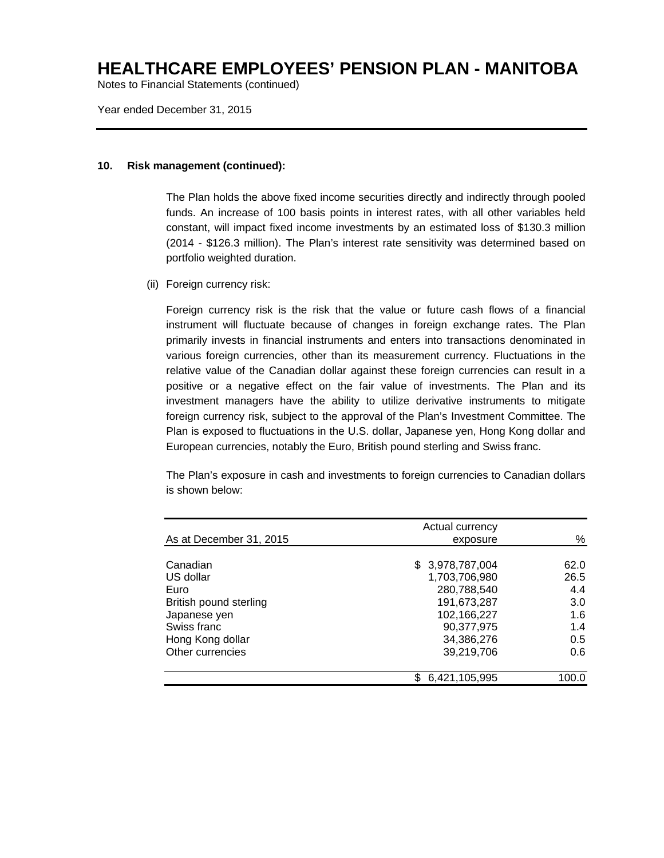Notes to Financial Statements (continued)

Year ended December 31, 2015

#### **10. Risk management (continued):**

The Plan holds the above fixed income securities directly and indirectly through pooled funds. An increase of 100 basis points in interest rates, with all other variables held constant, will impact fixed income investments by an estimated loss of \$130.3 million (2014 - \$126.3 million). The Plan's interest rate sensitivity was determined based on portfolio weighted duration.

(ii) Foreign currency risk:

Foreign currency risk is the risk that the value or future cash flows of a financial instrument will fluctuate because of changes in foreign exchange rates. The Plan primarily invests in financial instruments and enters into transactions denominated in various foreign currencies, other than its measurement currency. Fluctuations in the relative value of the Canadian dollar against these foreign currencies can result in a positive or a negative effect on the fair value of investments. The Plan and its investment managers have the ability to utilize derivative instruments to mitigate foreign currency risk, subject to the approval of the Plan's Investment Committee. The Plan is exposed to fluctuations in the U.S. dollar, Japanese yen, Hong Kong dollar and European currencies, notably the Euro, British pound sterling and Swiss franc.

The Plan's exposure in cash and investments to foreign currencies to Canadian dollars is shown below:

|                         | Actual currency  |       |
|-------------------------|------------------|-------|
| As at December 31, 2015 | exposure         | %     |
|                         |                  |       |
| Canadian                | \$ 3,978,787,004 | 62.0  |
| US dollar               | 1,703,706,980    | 26.5  |
| Euro                    | 280,788,540      | 4.4   |
| British pound sterling  | 191,673,287      | 3.0   |
| Japanese yen            | 102,166,227      | 1.6   |
| Swiss franc             | 90,377,975       | 1.4   |
| Hong Kong dollar        | 34,386,276       | 0.5   |
| Other currencies        | 39,219,706       | 0.6   |
|                         | 6,421,105,995    | 100.0 |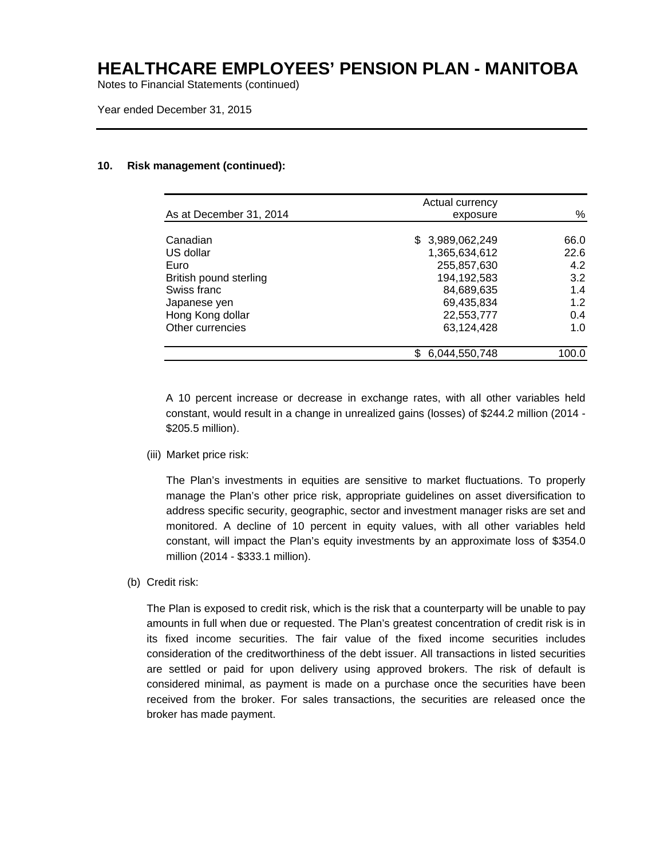Notes to Financial Statements (continued)

Year ended December 31, 2015

#### **10. Risk management (continued):**

|                         | Actual currency  |       |
|-------------------------|------------------|-------|
| As at December 31, 2014 | exposure         | %     |
| Canadian                | \$ 3,989,062,249 | 66.0  |
| US dollar               | 1,365,634,612    | 22.6  |
| Euro                    | 255,857,630      | 4.2   |
| British pound sterling  | 194,192,583      | 3.2   |
| Swiss franc             | 84,689,635       | 1.4   |
| Japanese yen            | 69,435,834       | 1.2   |
| Hong Kong dollar        | 22,553,777       | 0.4   |
| Other currencies        | 63,124,428       | 1.0   |
|                         |                  |       |
|                         | 6,044,550,748    | 100.0 |

A 10 percent increase or decrease in exchange rates, with all other variables held constant, would result in a change in unrealized gains (losses) of \$244.2 million (2014 - \$205.5 million).

(iii) Market price risk:

The Plan's investments in equities are sensitive to market fluctuations. To properly manage the Plan's other price risk, appropriate guidelines on asset diversification to address specific security, geographic, sector and investment manager risks are set and monitored. A decline of 10 percent in equity values, with all other variables held constant, will impact the Plan's equity investments by an approximate loss of \$354.0 million (2014 - \$333.1 million).

(b) Credit risk:

The Plan is exposed to credit risk, which is the risk that a counterparty will be unable to pay amounts in full when due or requested. The Plan's greatest concentration of credit risk is in its fixed income securities. The fair value of the fixed income securities includes consideration of the creditworthiness of the debt issuer. All transactions in listed securities are settled or paid for upon delivery using approved brokers. The risk of default is considered minimal, as payment is made on a purchase once the securities have been received from the broker. For sales transactions, the securities are released once the broker has made payment.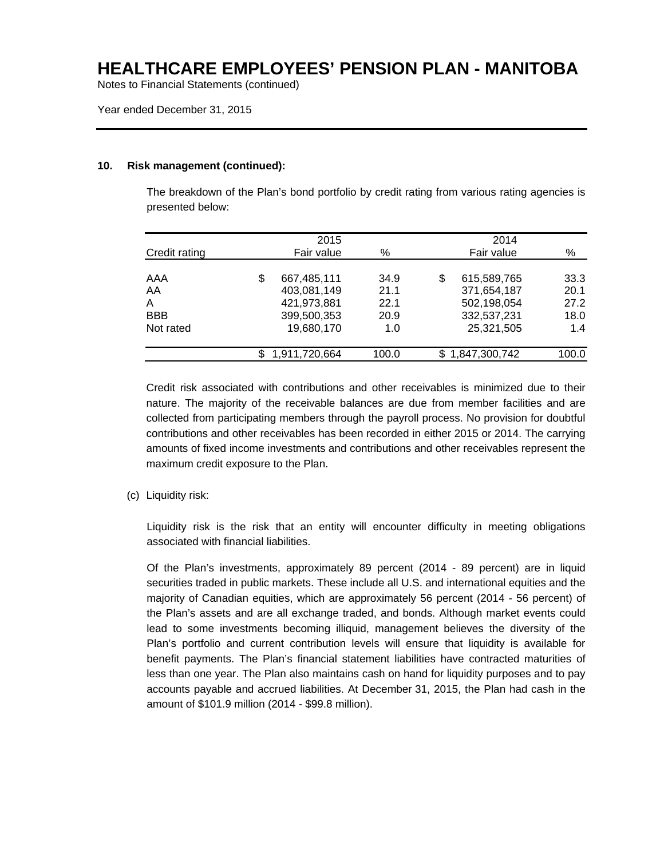Notes to Financial Statements (continued)

Year ended December 31, 2015

#### **10. Risk management (continued):**

The breakdown of the Plan's bond portfolio by credit rating from various rating agencies is presented below:

|               | 2015              |       | 2014              |       |
|---------------|-------------------|-------|-------------------|-------|
| Credit rating | Fair value        | %     | Fair value        | $\%$  |
| AAA           | \$<br>667,485,111 | 34.9  | \$<br>615,589,765 | 33.3  |
| AA            | 403,081,149       | 21.1  | 371,654,187       | 20.1  |
| A             | 421,973,881       | 22.1  | 502,198,054       | 27.2  |
| <b>BBB</b>    | 399,500,353       | 20.9  | 332,537,231       | 18.0  |
| Not rated     | 19,680,170        | 1.0   | 25,321,505        | 1.4   |
|               | 1,911,720,664     | 100.0 | \$1,847,300,742   | 100.0 |

Credit risk associated with contributions and other receivables is minimized due to their nature. The majority of the receivable balances are due from member facilities and are collected from participating members through the payroll process. No provision for doubtful contributions and other receivables has been recorded in either 2015 or 2014. The carrying amounts of fixed income investments and contributions and other receivables represent the maximum credit exposure to the Plan.

(c) Liquidity risk:

Liquidity risk is the risk that an entity will encounter difficulty in meeting obligations associated with financial liabilities.

Of the Plan's investments, approximately 89 percent (2014 - 89 percent) are in liquid securities traded in public markets. These include all U.S. and international equities and the majority of Canadian equities, which are approximately 56 percent (2014 - 56 percent) of the Plan's assets and are all exchange traded, and bonds. Although market events could lead to some investments becoming illiquid, management believes the diversity of the Plan's portfolio and current contribution levels will ensure that liquidity is available for benefit payments. The Plan's financial statement liabilities have contracted maturities of less than one year. The Plan also maintains cash on hand for liquidity purposes and to pay accounts payable and accrued liabilities. At December 31, 2015, the Plan had cash in the amount of \$101.9 million (2014 - \$99.8 million).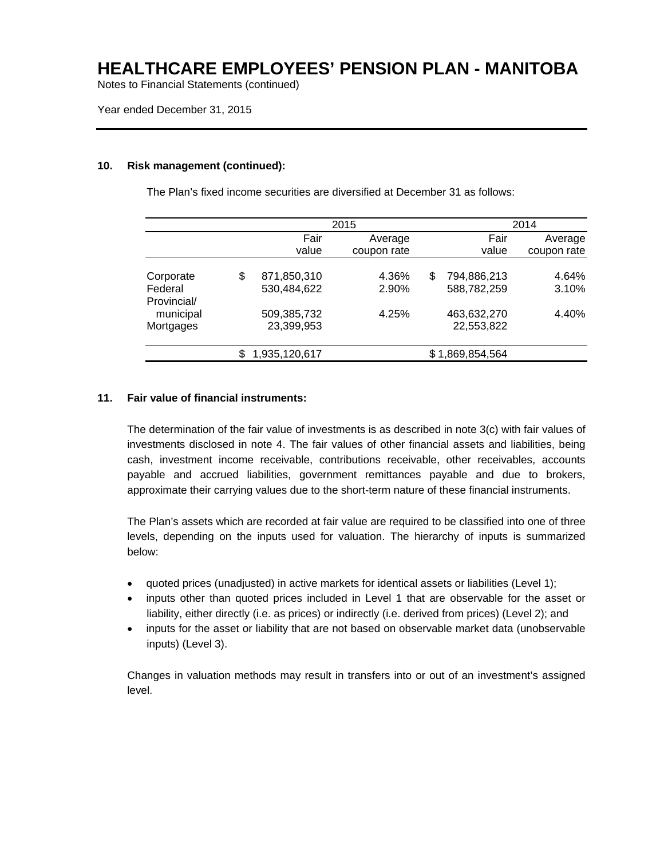Notes to Financial Statements (continued)

Year ended December 31, 2015

#### **10. Risk management (continued):**

The Plan's fixed income securities are diversified at December 31 as follows:

|             | 2015              |             |    | 2014          |             |  |
|-------------|-------------------|-------------|----|---------------|-------------|--|
|             | Fair              | Average     |    | Fair          | Average     |  |
|             | value             | coupon rate |    | value         | coupon rate |  |
|             |                   |             |    |               |             |  |
| Corporate   | \$<br>871,850,310 | 4.36%       | \$ | 794,886,213   | 4.64%       |  |
| Federal     | 530,484,622       | 2.90%       |    | 588,782,259   | 3.10%       |  |
| Provincial/ |                   |             |    |               |             |  |
| municipal   | 509,385,732       | 4.25%       |    | 463,632,270   | 4.40%       |  |
| Mortgages   | 23,399,953        |             |    | 22,553,822    |             |  |
|             | 1,935,120,617     |             |    | 1,869,854,564 |             |  |

#### **11. Fair value of financial instruments:**

The determination of the fair value of investments is as described in note 3(c) with fair values of investments disclosed in note 4. The fair values of other financial assets and liabilities, being cash, investment income receivable, contributions receivable, other receivables, accounts payable and accrued liabilities, government remittances payable and due to brokers, approximate their carrying values due to the short-term nature of these financial instruments.

The Plan's assets which are recorded at fair value are required to be classified into one of three levels, depending on the inputs used for valuation. The hierarchy of inputs is summarized below:

- quoted prices (unadjusted) in active markets for identical assets or liabilities (Level 1);
- inputs other than quoted prices included in Level 1 that are observable for the asset or liability, either directly (i.e. as prices) or indirectly (i.e. derived from prices) (Level 2); and
- inputs for the asset or liability that are not based on observable market data (unobservable inputs) (Level 3).

Changes in valuation methods may result in transfers into or out of an investment's assigned level.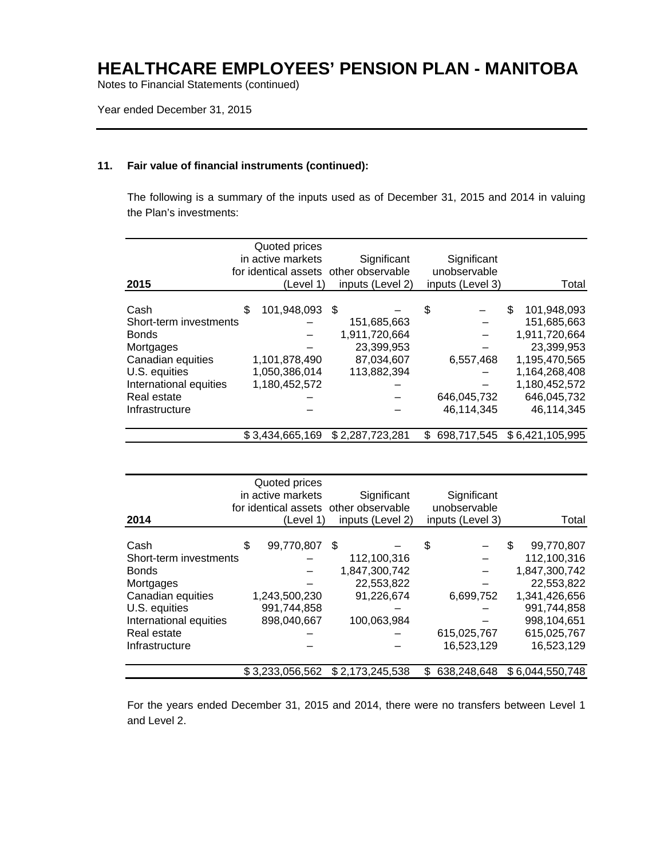Notes to Financial Statements (continued)

Year ended December 31, 2015

#### **11. Fair value of financial instruments (continued):**

The following is a summary of the inputs used as of December 31, 2015 and 2014 in valuing the Plan's investments:

| 2015                   | Quoted prices<br>in active markets<br>(Level 1) | Significant<br>for identical assets other observable<br>inputs (Level 2) |     | Significant<br>unobservable<br>inputs (Level 3) | Total             |
|------------------------|-------------------------------------------------|--------------------------------------------------------------------------|-----|-------------------------------------------------|-------------------|
| Cash                   | \$<br>101,948,093                               | - \$                                                                     | \$  |                                                 | 101,948,093<br>\$ |
| Short-term investments |                                                 | 151,685,663                                                              |     |                                                 | 151.685.663       |
| <b>Bonds</b>           |                                                 | 1,911,720,664                                                            |     |                                                 | 1,911,720,664     |
| Mortgages              |                                                 | 23,399,953                                                               |     |                                                 | 23,399,953        |
| Canadian equities      | 1,101,878,490                                   | 87,034,607                                                               |     | 6,557,468                                       | 1,195,470,565     |
| U.S. equities          | 1,050,386,014                                   | 113,882,394                                                              |     |                                                 | 1,164,268,408     |
| International equities | 1,180,452,572                                   |                                                                          |     |                                                 | 1,180,452,572     |
| Real estate            |                                                 |                                                                          |     | 646,045,732                                     | 646,045,732       |
| Infrastructure         |                                                 |                                                                          |     | 46,114,345                                      | 46,114,345        |
|                        | \$3.434.665.169                                 | \$2.287.723.281                                                          | \$. | 698,717,545                                     | \$6,421,105,995   |

| 2014                   | Quoted prices<br>in active markets<br>(Level 1) | Significant<br>for identical assets other observable<br>inputs (Level 2) | Significant<br>unobservable<br>inputs (Level 3) | Total           |
|------------------------|-------------------------------------------------|--------------------------------------------------------------------------|-------------------------------------------------|-----------------|
|                        |                                                 |                                                                          |                                                 |                 |
| Cash                   | \$<br>99,770,807                                | \$                                                                       | \$                                              | S<br>99.770.807 |
| Short-term investments |                                                 | 112,100,316                                                              |                                                 | 112,100,316     |
| <b>Bonds</b>           |                                                 | 1,847,300,742                                                            |                                                 | 1,847,300,742   |
| Mortgages              |                                                 | 22,553,822                                                               |                                                 | 22,553,822      |
| Canadian equities      | 1,243,500,230                                   | 91,226,674                                                               | 6,699,752                                       | 1,341,426,656   |
| U.S. equities          | 991,744,858                                     |                                                                          |                                                 | 991,744,858     |
| International equities | 898,040,667                                     | 100,063,984                                                              |                                                 | 998,104,651     |
| Real estate            |                                                 |                                                                          | 615,025,767                                     | 615,025,767     |
| Infrastructure         |                                                 |                                                                          | 16,523,129                                      | 16,523,129      |
|                        | \$3,233,056,562                                 | \$2,173,245,538                                                          | \$<br>638,248,648                               | \$6,044,550,748 |

For the years ended December 31, 2015 and 2014, there were no transfers between Level 1 and Level 2.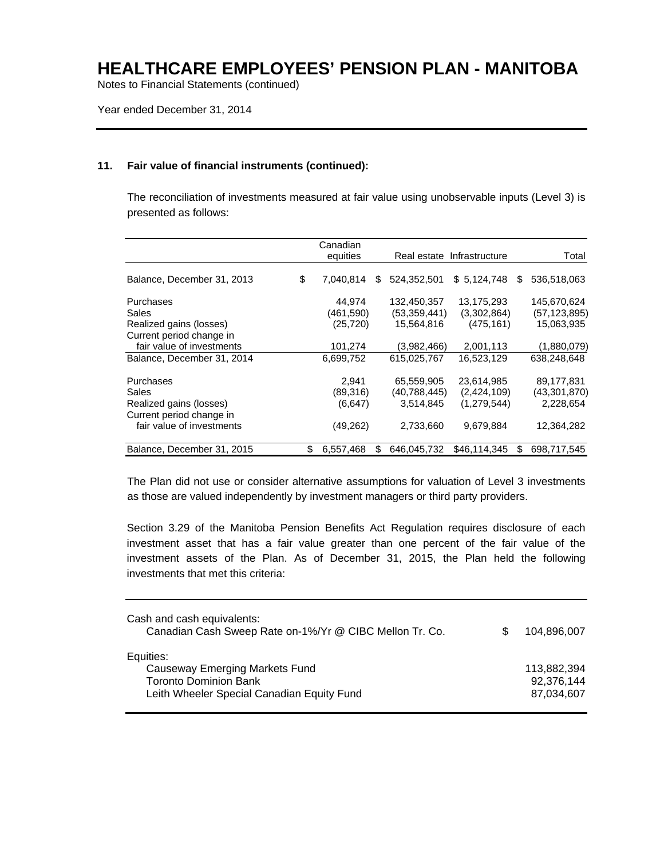Notes to Financial Statements (continued)

Year ended December 31, 2014

#### **11. Fair value of financial instruments (continued):**

The reconciliation of investments measured at fair value using unobservable inputs (Level 3) is presented as follows:

|                            | Canadian        |    |              |                            |                   |
|----------------------------|-----------------|----|--------------|----------------------------|-------------------|
|                            | equities        |    |              | Real estate Infrastructure | Total             |
|                            |                 |    |              |                            |                   |
| Balance, December 31, 2013 | \$<br>7.040,814 | S. | 524.352.501  | \$5,124,748                | \$<br>536,518,063 |
| Purchases                  | 44.974          |    | 132,450,357  | 13,175,293                 | 145,670,624       |
| Sales                      | (461,590)       |    | (53,359,441) | (3,302,864)                | (57, 123, 895)    |
| Realized gains (losses)    | (25, 720)       |    | 15,564,816   | (475, 161)                 | 15,063,935        |
| Current period change in   |                 |    |              |                            |                   |
| fair value of investments  | 101,274         |    | (3.982, 466) | 2,001,113                  | (1,880,079)       |
| Balance, December 31, 2014 | 6,699,752       |    | 615,025,767  | 16,523,129                 | 638,248,648       |
| Purchases                  | 2,941           |    | 65,559,905   | 23,614,985                 | 89,177,831        |
| Sales                      | (89,316)        |    | (40,788,445) | (2,424,109)                | (43,301,870)      |
| Realized gains (losses)    | (6,647)         |    | 3,514,845    | (1,279,544)                | 2,228,654         |
| Current period change in   |                 |    |              |                            |                   |
| fair value of investments  | (49, 262)       |    | 2,733,660    | 9,679,884                  | 12,364,282        |
| Balance, December 31, 2015 | \$<br>6,557,468 | S  | 646.045.732  | \$46,114,345               | \$<br>698.717.545 |

The Plan did not use or consider alternative assumptions for valuation of Level 3 investments as those are valued independently by investment managers or third party providers.

Section 3.29 of the Manitoba Pension Benefits Act Regulation requires disclosure of each investment asset that has a fair value greater than one percent of the fair value of the investment assets of the Plan. As of December 31, 2015, the Plan held the following investments that met this criteria:

| Cash and cash equivalents:<br>Canadian Cash Sweep Rate on-1%/Yr @ CIBC Mellon Tr. Co.                                     | 104.896.007                             |
|---------------------------------------------------------------------------------------------------------------------------|-----------------------------------------|
| Equities:<br>Causeway Emerging Markets Fund<br><b>Toronto Dominion Bank</b><br>Leith Wheeler Special Canadian Equity Fund | 113,882,394<br>92,376,144<br>87,034,607 |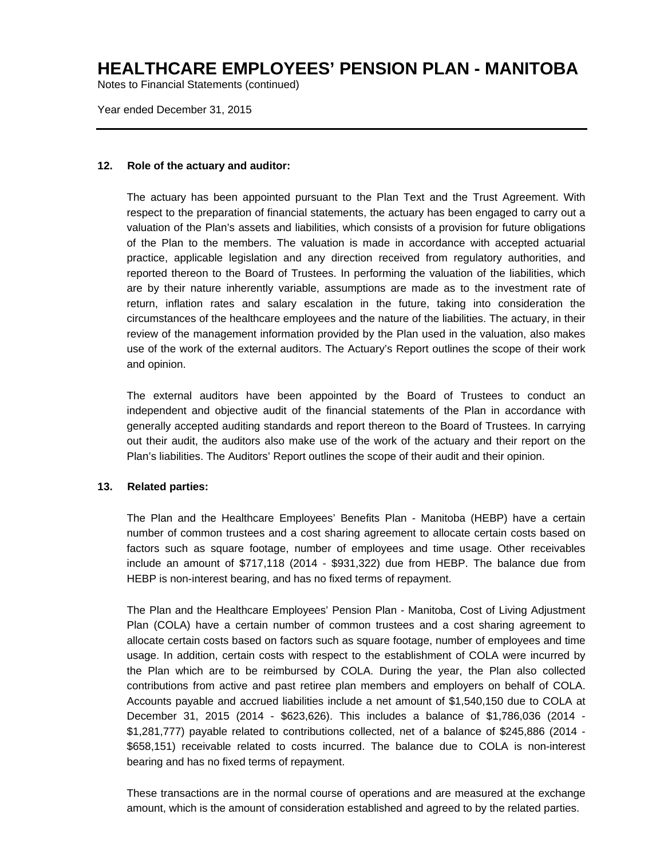Notes to Financial Statements (continued)

Year ended December 31, 2015

#### **12. Role of the actuary and auditor:**

The actuary has been appointed pursuant to the Plan Text and the Trust Agreement. With respect to the preparation of financial statements, the actuary has been engaged to carry out a valuation of the Plan's assets and liabilities, which consists of a provision for future obligations of the Plan to the members. The valuation is made in accordance with accepted actuarial practice, applicable legislation and any direction received from regulatory authorities, and reported thereon to the Board of Trustees. In performing the valuation of the liabilities, which are by their nature inherently variable, assumptions are made as to the investment rate of return, inflation rates and salary escalation in the future, taking into consideration the circumstances of the healthcare employees and the nature of the liabilities. The actuary, in their review of the management information provided by the Plan used in the valuation, also makes use of the work of the external auditors. The Actuary's Report outlines the scope of their work and opinion.

The external auditors have been appointed by the Board of Trustees to conduct an independent and objective audit of the financial statements of the Plan in accordance with generally accepted auditing standards and report thereon to the Board of Trustees. In carrying out their audit, the auditors also make use of the work of the actuary and their report on the Plan's liabilities. The Auditors' Report outlines the scope of their audit and their opinion.

#### **13. Related parties:**

The Plan and the Healthcare Employees' Benefits Plan - Manitoba (HEBP) have a certain number of common trustees and a cost sharing agreement to allocate certain costs based on factors such as square footage, number of employees and time usage. Other receivables include an amount of \$717,118 (2014 - \$931,322) due from HEBP. The balance due from HEBP is non-interest bearing, and has no fixed terms of repayment.

The Plan and the Healthcare Employees' Pension Plan - Manitoba, Cost of Living Adjustment Plan (COLA) have a certain number of common trustees and a cost sharing agreement to allocate certain costs based on factors such as square footage, number of employees and time usage. In addition, certain costs with respect to the establishment of COLA were incurred by the Plan which are to be reimbursed by COLA. During the year, the Plan also collected contributions from active and past retiree plan members and employers on behalf of COLA. Accounts payable and accrued liabilities include a net amount of \$1,540,150 due to COLA at December 31, 2015 (2014 - \$623,626). This includes a balance of \$1,786,036 (2014 - \$1,281,777) payable related to contributions collected, net of a balance of \$245,886 (2014 - \$658,151) receivable related to costs incurred. The balance due to COLA is non-interest bearing and has no fixed terms of repayment.

These transactions are in the normal course of operations and are measured at the exchange amount, which is the amount of consideration established and agreed to by the related parties.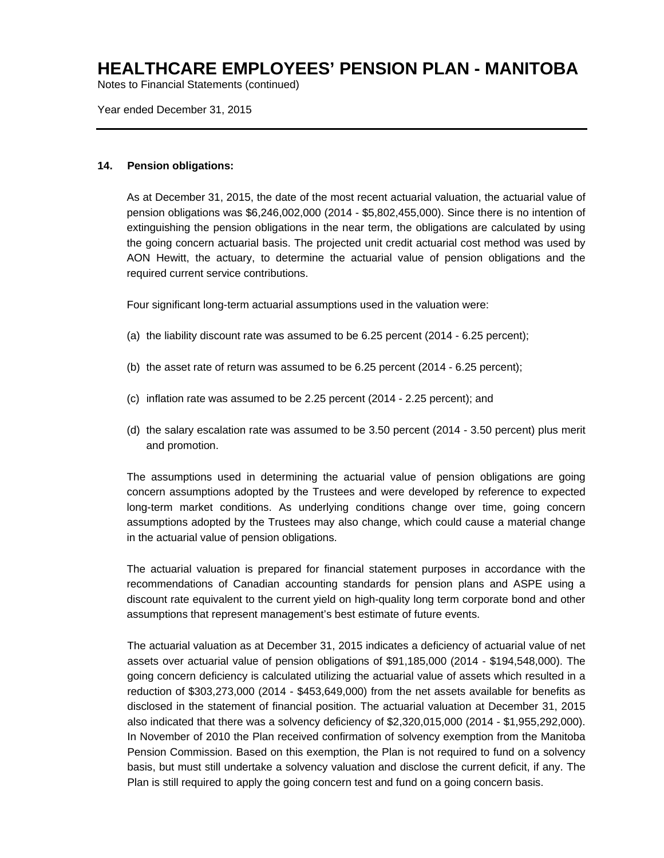Notes to Financial Statements (continued)

Year ended December 31, 2015

#### **14. Pension obligations:**

As at December 31, 2015, the date of the most recent actuarial valuation, the actuarial value of pension obligations was \$6,246,002,000 (2014 - \$5,802,455,000). Since there is no intention of extinguishing the pension obligations in the near term, the obligations are calculated by using the going concern actuarial basis. The projected unit credit actuarial cost method was used by AON Hewitt, the actuary, to determine the actuarial value of pension obligations and the required current service contributions.

Four significant long-term actuarial assumptions used in the valuation were:

- (a) the liability discount rate was assumed to be 6.25 percent (2014 6.25 percent);
- (b) the asset rate of return was assumed to be 6.25 percent (2014 6.25 percent);
- (c) inflation rate was assumed to be 2.25 percent (2014 2.25 percent); and
- (d) the salary escalation rate was assumed to be 3.50 percent (2014 3.50 percent) plus merit and promotion.

The assumptions used in determining the actuarial value of pension obligations are going concern assumptions adopted by the Trustees and were developed by reference to expected long-term market conditions. As underlying conditions change over time, going concern assumptions adopted by the Trustees may also change, which could cause a material change in the actuarial value of pension obligations.

The actuarial valuation is prepared for financial statement purposes in accordance with the recommendations of Canadian accounting standards for pension plans and ASPE using a discount rate equivalent to the current yield on high-quality long term corporate bond and other assumptions that represent management's best estimate of future events.

The actuarial valuation as at December 31, 2015 indicates a deficiency of actuarial value of net assets over actuarial value of pension obligations of \$91,185,000 (2014 - \$194,548,000). The going concern deficiency is calculated utilizing the actuarial value of assets which resulted in a reduction of \$303,273,000 (2014 - \$453,649,000) from the net assets available for benefits as disclosed in the statement of financial position. The actuarial valuation at December 31, 2015 also indicated that there was a solvency deficiency of \$2,320,015,000 (2014 - \$1,955,292,000). In November of 2010 the Plan received confirmation of solvency exemption from the Manitoba Pension Commission. Based on this exemption, the Plan is not required to fund on a solvency basis, but must still undertake a solvency valuation and disclose the current deficit, if any. The Plan is still required to apply the going concern test and fund on a going concern basis.